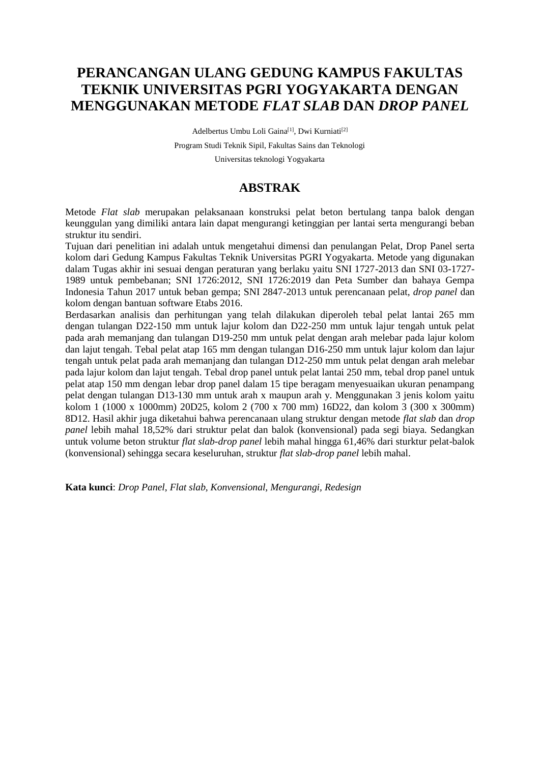# **PERANCANGAN ULANG GEDUNG KAMPUS FAKULTAS TEKNIK UNIVERSITAS PGRI YOGYAKARTA DENGAN MENGGUNAKAN METODE** *FLAT SLAB* **DAN** *DROP PANEL*

Adelbertus Umbu Loli Gaina<sup>[1]</sup>, Dwi Kurniati<sup>[2]</sup> Program Studi Teknik Sipil, Fakultas Sains dan Teknologi Universitas teknologi Yogyakarta

# **ABSTRAK**

Metode *Flat slab* merupakan pelaksanaan konstruksi pelat beton bertulang tanpa balok dengan keunggulan yang dimiliki antara lain dapat mengurangi ketinggian per lantai serta mengurangi beban struktur itu sendiri.

Tujuan dari penelitian ini adalah untuk mengetahui dimensi dan penulangan Pelat, Drop Panel serta kolom dari Gedung Kampus Fakultas Teknik Universitas PGRI Yogyakarta. Metode yang digunakan dalam Tugas akhir ini sesuai dengan peraturan yang berlaku yaitu SNI 1727-2013 dan SNI 03-1727- 1989 untuk pembebanan; SNI 1726:2012, SNI 1726:2019 dan Peta Sumber dan bahaya Gempa Indonesia Tahun 2017 untuk beban gempa; SNI 2847-2013 untuk perencanaan pelat, *drop panel* dan kolom dengan bantuan software Etabs 2016.

Berdasarkan analisis dan perhitungan yang telah dilakukan diperoleh tebal pelat lantai 265 mm dengan tulangan D22-150 mm untuk lajur kolom dan D22-250 mm untuk lajur tengah untuk pelat pada arah memanjang dan tulangan D19-250 mm untuk pelat dengan arah melebar pada lajur kolom dan lajut tengah. Tebal pelat atap 165 mm dengan tulangan D16-250 mm untuk lajur kolom dan lajur tengah untuk pelat pada arah memanjang dan tulangan D12-250 mm untuk pelat dengan arah melebar pada lajur kolom dan lajut tengah. Tebal drop panel untuk pelat lantai 250 mm, tebal drop panel untuk pelat atap 150 mm dengan lebar drop panel dalam 15 tipe beragam menyesuaikan ukuran penampang pelat dengan tulangan D13-130 mm untuk arah x maupun arah y. Menggunakan 3 jenis kolom yaitu kolom 1 (1000 x 1000mm) 20D25, kolom 2 (700 x 700 mm) 16D22, dan kolom 3 (300 x 300mm) 8D12. Hasil akhir juga diketahui bahwa perencanaan ulang struktur dengan metode *flat slab* dan *drop panel* lebih mahal 18,52% dari struktur pelat dan balok (konvensional) pada segi biaya. Sedangkan untuk volume beton struktur *flat slab-drop panel* lebih mahal hingga 61,46% dari sturktur pelat-balok (konvensional) sehingga secara keseluruhan, struktur *flat slab-drop panel* lebih mahal.

**Kata kunci**: *Drop Panel*, *Flat slab, Konvensional, Mengurangi, Redesign*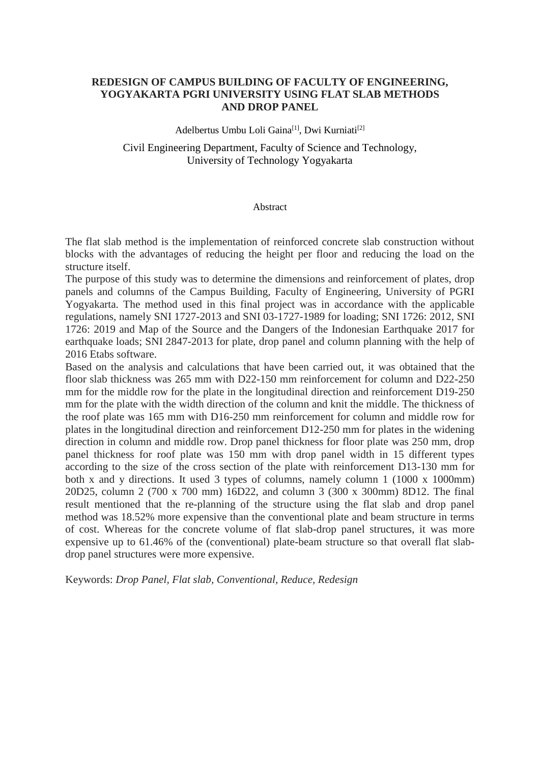## **REDESIGN OF CAMPUS BUILDING OF FACULTY OF ENGINEERING, YOGYAKARTA PGRI UNIVERSITY USING FLAT SLAB METHODS AND DROP PANEL**

Adelbertus Umbu Loli Gaina<sup>[1]</sup>, Dwi Kurniati<sup>[2]</sup>

### Civil Engineering Department, Faculty of Science and Technology, University of Technology Yogyakarta

#### Abstract

The flat slab method is the implementation of reinforced concrete slab construction without blocks with the advantages of reducing the height per floor and reducing the load on the structure itself.

The purpose of this study was to determine the dimensions and reinforcement of plates, drop panels and columns of the Campus Building, Faculty of Engineering, University of PGRI Yogyakarta. The method used in this final project was in accordance with the applicable regulations, namely SNI 1727-2013 and SNI 03-1727-1989 for loading; SNI 1726: 2012, SNI 1726: 2019 and Map of the Source and the Dangers of the Indonesian Earthquake 2017 for earthquake loads; SNI 2847-2013 for plate, drop panel and column planning with the help of 2016 Etabs software.

Based on the analysis and calculations that have been carried out, it was obtained that the floor slab thickness was 265 mm with D22-150 mm reinforcement for column and D22-250 mm for the middle row for the plate in the longitudinal direction and reinforcement D19-250 mm for the plate with the width direction of the column and knit the middle. The thickness of the roof plate was 165 mm with D16-250 mm reinforcement for column and middle row for plates in the longitudinal direction and reinforcement D12-250 mm for plates in the widening direction in column and middle row. Drop panel thickness for floor plate was 250 mm, drop panel thickness for roof plate was 150 mm with drop panel width in 15 different types according to the size of the cross section of the plate with reinforcement D13-130 mm for both x and y directions. It used 3 types of columns, namely column 1 (1000 x 1000mm) 20D25, column 2 (700 x 700 mm) 16D22, and column 3 (300 x 300mm) 8D12. The final result mentioned that the re-planning of the structure using the flat slab and drop panel method was 18.52% more expensive than the conventional plate and beam structure in terms of cost. Whereas for the concrete volume of flat slab-drop panel structures, it was more expensive up to 61.46% of the (conventional) plate-beam structure so that overall flat slabdrop panel structures were more expensive.

Keywords: *Drop Panel, Flat slab, Conventional, Reduce, Redesign*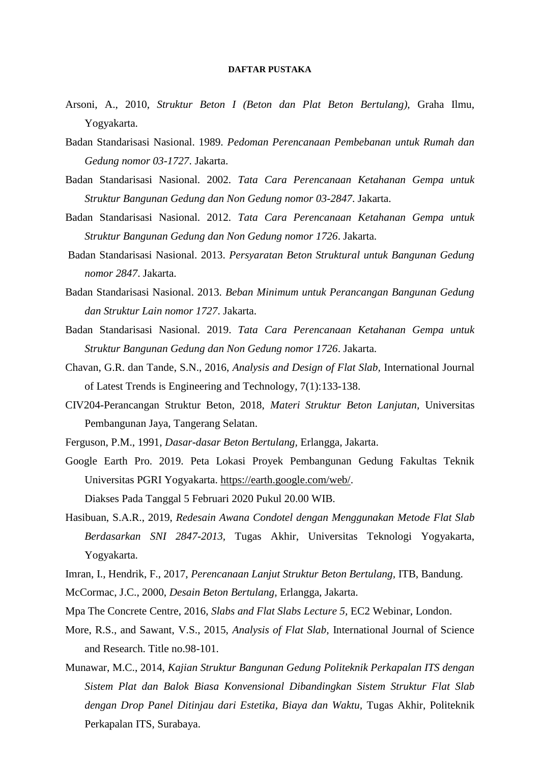#### **DAFTAR PUSTAKA**

- Arsoni, A., 2010, *Struktur Beton I (Beton dan Plat Beton Bertulang),* Graha Ilmu, Yogyakarta.
- Badan Standarisasi Nasional. 1989. *Pedoman Perencanaan Pembebanan untuk Rumah dan Gedung nomor 03-1727*. Jakarta.
- Badan Standarisasi Nasional. 2002*. Tata Cara Perencanaan Ketahanan Gempa untuk Struktur Bangunan Gedung dan Non Gedung nomor 03-2847*. Jakarta.
- Badan Standarisasi Nasional. 2012*. Tata Cara Perencanaan Ketahanan Gempa untuk Struktur Bangunan Gedung dan Non Gedung nomor 1726*. Jakarta.
- Badan Standarisasi Nasional. 2013. *Persyaratan Beton Struktural untuk Bangunan Gedung nomor 2847*. Jakarta.
- Badan Standarisasi Nasional. 2013. *Beban Minimum untuk Perancangan Bangunan Gedung dan Struktur Lain nomor 1727*. Jakarta.
- Badan Standarisasi Nasional. 2019. *Tata Cara Perencanaan Ketahanan Gempa untuk Struktur Bangunan Gedung dan Non Gedung nomor 1726*. Jakarta.
- Chavan, G.R. dan Tande, S.N., 2016, *Analysis and Design of Flat Slab,* International Journal of Latest Trends is Engineering and Technology, 7(1):133-138.
- CIV204-Perancangan Struktur Beton, 2018, *Materi Struktur Beton Lanjutan,* Universitas Pembangunan Jaya, Tangerang Selatan.
- Ferguson, P.M., 1991, *Dasar-dasar Beton Bertulang,* Erlangga, Jakarta.
- Google Earth Pro. 2019. Peta Lokasi Proyek Pembangunan Gedung Fakultas Teknik Universitas PGRI Yogyakarta. [https://earth.google.com/web/.](https://earth.google.com/web/) Diakses Pada Tanggal 5 Februari 2020 Pukul 20.00 WIB.
- Hasibuan, S.A.R., 2019, *Redesain Awana Condotel dengan Menggunakan Metode Flat Slab Berdasarkan SNI 2847-2013,* Tugas Akhir, Universitas Teknologi Yogyakarta, Yogyakarta.
- Imran, I., Hendrik, F., 2017, *Perencanaan Lanjut Struktur Beton Bertulang,* ITB, Bandung.
- McCormac, J.C., 2000, *Desain Beton Bertulang,* Erlangga, Jakarta.
- Mpa The Concrete Centre, 2016, *Slabs and Flat Slabs Lecture 5,* EC2 Webinar, London.
- More, R.S., and Sawant, V.S., 2015, *Analysis of Flat Slab,* International Journal of Science and Research. Title no.98-101.
- Munawar, M.C., 2014, *Kajian Struktur Bangunan Gedung Politeknik Perkapalan ITS dengan Sistem Plat dan Balok Biasa Konvensional Dibandingkan Sistem Struktur Flat Slab dengan Drop Panel Ditinjau dari Estetika, Biaya dan Waktu,* Tugas Akhir, Politeknik Perkapalan ITS, Surabaya.